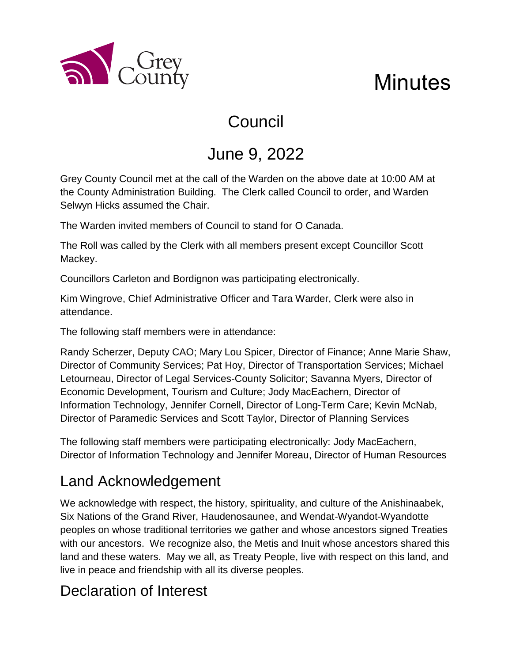

# **Minutes**

## Council

## June 9, 2022

Grey County Council met at the call of the Warden on the above date at 10:00 AM at the County Administration Building. The Clerk called Council to order, and Warden Selwyn Hicks assumed the Chair.

The Warden invited members of Council to stand for O Canada.

The Roll was called by the Clerk with all members present except Councillor Scott Mackey.

Councillors Carleton and Bordignon was participating electronically.

Kim Wingrove, Chief Administrative Officer and Tara Warder, Clerk were also in attendance.

The following staff members were in attendance:

Randy Scherzer, Deputy CAO; Mary Lou Spicer, Director of Finance; Anne Marie Shaw, Director of Community Services; Pat Hoy, Director of Transportation Services; Michael Letourneau, Director of Legal Services-County Solicitor; Savanna Myers, Director of Economic Development, Tourism and Culture; Jody MacEachern, Director of Information Technology, Jennifer Cornell, Director of Long-Term Care; Kevin McNab, Director of Paramedic Services and Scott Taylor, Director of Planning Services

The following staff members were participating electronically: Jody MacEachern, Director of Information Technology and Jennifer Moreau, Director of Human Resources

### Land Acknowledgement

We acknowledge with respect, the history, spirituality, and culture of the Anishinaabek, Six Nations of the Grand River, Haudenosaunee, and Wendat-Wyandot-Wyandotte peoples on whose traditional territories we gather and whose ancestors signed Treaties with our ancestors. We recognize also, the Metis and Inuit whose ancestors shared this land and these waters. May we all, as Treaty People, live with respect on this land, and live in peace and friendship with all its diverse peoples.

### Declaration of Interest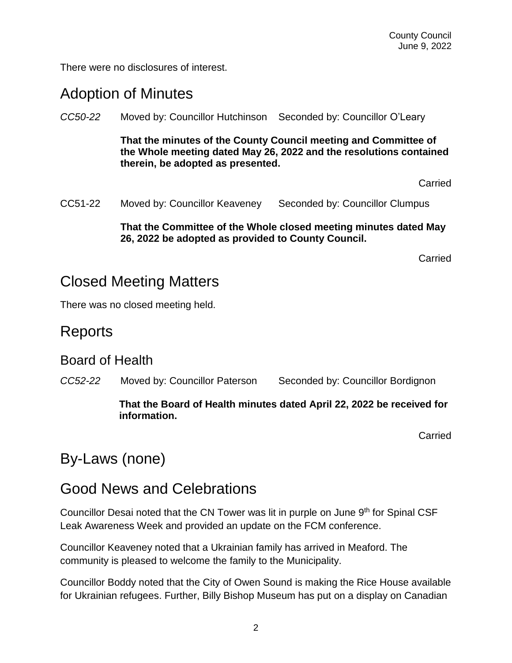There were no disclosures of interest.

#### Adoption of Minutes

*CC50-22* Moved by: Councillor Hutchinson Seconded by: Councillor O'Leary

**That the minutes of the County Council meeting and Committee of the Whole meeting dated May 26, 2022 and the resolutions contained therein, be adopted as presented.** 

**Carried** 

CC51-22 Moved by: Councillor Keaveney Seconded by: Councillor Clumpus

#### **That the Committee of the Whole closed meeting minutes dated May 26, 2022 be adopted as provided to County Council.**

Carried

#### Closed Meeting Matters

There was no closed meeting held.

#### Reports

#### Board of Health

*CC52-22* Moved by: Councillor Paterson Seconded by: Councillor Bordignon

#### **That the Board of Health minutes dated April 22, 2022 be received for information.**

Carried

### By-Laws (none)

#### Good News and Celebrations

Councillor Desai noted that the CN Tower was lit in purple on June 9<sup>th</sup> for Spinal CSF Leak Awareness Week and provided an update on the FCM conference.

Councillor Keaveney noted that a Ukrainian family has arrived in Meaford. The community is pleased to welcome the family to the Municipality.

Councillor Boddy noted that the City of Owen Sound is making the Rice House available for Ukrainian refugees. Further, Billy Bishop Museum has put on a display on Canadian